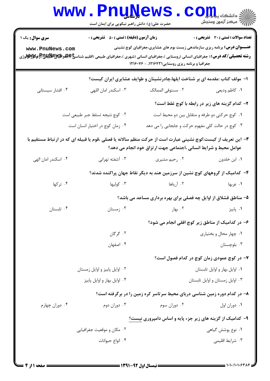|                                                                                                                                                                                                                                                                                                                | <b>www.PnuNews</b><br>حضرت علی(ع): دانش راهبر نیکویی برای ایمان است |                                                                             | $\mathop{\hbox{\bf CO}}\nolimits_{\rm I\!I\!I\!I}$ . |  |  |  |
|----------------------------------------------------------------------------------------------------------------------------------------------------------------------------------------------------------------------------------------------------------------------------------------------------------------|---------------------------------------------------------------------|-----------------------------------------------------------------------------|------------------------------------------------------|--|--|--|
| <b>سری سوال :</b> یک ۱                                                                                                                                                                                                                                                                                         | <b>زمان آزمون (دقیقه) : تستی : 50 ٪ تشریحی : 0</b>                  |                                                                             | <b>تعداد سوالات : تستی : 30 ٪ تشریحی : 0</b>         |  |  |  |
| <b>عنـــوان درس:</b> برنامه ریزی سازماندهی زیست بوم های عشایری،جغرافیای کوچ نشینی<br>www.PnuNews.com<br><b>رشته تحصیلی/کد درس:</b> ( جغرافیای انسانی (روستایی )،جغرافیای انسانی (شهری )،جغرافیای طبیعی (اقلیم شناس <b>خ)چلو ایگالیلاتا توگلاواتولار</b> ژی<br>جغرافیا و برنامه ریزی روستایی ۱۲۱۶۴۳۱، - ۱۲۱۶۰۷۶ |                                                                     |                                                                             |                                                      |  |  |  |
| ا– مولف کتاب :مقدمه ای بر شناخت ایلها،چادرنشینان و طوایف عشایری ایران کیست؟                                                                                                                                                                                                                                    |                                                                     |                                                                             |                                                      |  |  |  |
| ۰۴ افشار سیستانی                                                                                                                                                                                                                                                                                               | ۰۳ اسکندر امان اللهی                                                | ۰۲ مستوفى الممالک                                                           | ۰۱ كاظم وديعي                                        |  |  |  |
|                                                                                                                                                                                                                                                                                                                |                                                                     |                                                                             | ۲- کدام گزینه های زیر در رابطه با کوچ غلط است؟       |  |  |  |
| ٠٢ كوچ نتيجه تسلط جبر طبيعي است<br>٠١ كوچ حركتي دو طرفه و متقابل بين دو محيط است                                                                                                                                                                                                                               |                                                                     |                                                                             |                                                      |  |  |  |
| ۰۳ کوچ در حالت کلی مفهوم حرکت و جابجایی را می دهد<br>۰۴ زمان كوچ در اختيار انسان است                                                                                                                                                                                                                           |                                                                     |                                                                             |                                                      |  |  |  |
| ۳- این تعریف از کیست:کوچ نشینی عبارت است از حرکت منظم سالانه یا فصلی ،قوم یا قبیله ای که در ارتباط مستقیم با<br>عوامل محیط و شرایط انسانی ،اجتماعی جهت ارتزاق خود انجام می دهد؟                                                                                                                                |                                                                     |                                                                             |                                                      |  |  |  |
| ۰۴ اسکندر امان الهی                                                                                                                                                                                                                                                                                            | ۰۳ آشفته تهرانی                                                     | ۰۲ رحیم مشیری                                                               | ٠١. ابن خلدون                                        |  |  |  |
|                                                                                                                                                                                                                                                                                                                |                                                                     | ۴- کدامیک از گروههای کوچ نشین از سرزمین هند به دیگر نقاط جهان پراکنده شدند؟ |                                                      |  |  |  |
| ۰۴ ترکها                                                                                                                                                                                                                                                                                                       | ۰۳ کولیها                                                           | ۰۲ آریاها                                                                   | ۰۱ عربها                                             |  |  |  |
|                                                                                                                                                                                                                                                                                                                |                                                                     | ۵- مناطق قشلاق از اوایل چه فصلی برای بهره برداری مساعد می باشد؟             |                                                      |  |  |  |
| ۰۴ تابستان                                                                                                                                                                                                                                                                                                     | ۰۳ زمستان                                                           | ۰۲ بهار                                                                     | ۰۱ پاییز                                             |  |  |  |
|                                                                                                                                                                                                                                                                                                                |                                                                     | ۶- در کدامیک از مناطق زیر کوچ افقی انجام می شود؟                            |                                                      |  |  |  |
|                                                                                                                                                                                                                                                                                                                | ۰۲ گرگان                                                            | ۰۱ چهار محال و بختیاری                                                      |                                                      |  |  |  |
|                                                                                                                                                                                                                                                                                                                | ۰۴ اصفهان                                                           |                                                                             | ۰۳ بلوچستان                                          |  |  |  |
|                                                                                                                                                                                                                                                                                                                |                                                                     |                                                                             | ۷– در کوچ عمودی زمان کوچ در کدام فصول است؟           |  |  |  |
|                                                                                                                                                                                                                                                                                                                | ۰۲ اوایل پاییز و اوایل زمستان                                       |                                                                             | ٠١ اوايل بهار و اوايل تابستان                        |  |  |  |
|                                                                                                                                                                                                                                                                                                                | ۰۴ اوایل بهار و اوایل پاییز                                         |                                                                             | ۰۳ اوایل زمستان و اوایل تابستان                      |  |  |  |
|                                                                                                                                                                                                                                                                                                                |                                                                     | ۸– در کدام دوره زمین شناسی دریای محیط سرتاسر کره زمین را در برگرفته است؟    |                                                      |  |  |  |
| ۰۴ دوران چهارم                                                                                                                                                                                                                                                                                                 | ۰۳ دوران دوم                                                        | ۰۲ دوران سوم                                                                | ٠١ دوران اول                                         |  |  |  |
| ۹- کدامیک از گزینه های زیر جزء پایه و اساس دامپروری نیست؟                                                                                                                                                                                                                                                      |                                                                     |                                                                             |                                                      |  |  |  |
|                                                                                                                                                                                                                                                                                                                | ۰۲ مکان و موقعیت جغرافیایی                                          |                                                                             | ۰۱ نوع پوشش گیاهی                                    |  |  |  |
|                                                                                                                                                                                                                                                                                                                | ۰۴ انواع حیوانات                                                    |                                                                             | ۰۳ شرايط اقليمي                                      |  |  |  |
|                                                                                                                                                                                                                                                                                                                |                                                                     |                                                                             |                                                      |  |  |  |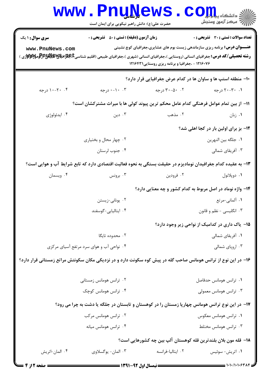|                                                                                                                | www.PnuNews<br>حضرت علی(ع): دانش راهبر نیکویی برای ایمان است                                                                                                                                                                                                                                                                                                                        |                                                            | أأأأ مركز آزمون وسنجش                          |  |  |
|----------------------------------------------------------------------------------------------------------------|-------------------------------------------------------------------------------------------------------------------------------------------------------------------------------------------------------------------------------------------------------------------------------------------------------------------------------------------------------------------------------------|------------------------------------------------------------|------------------------------------------------|--|--|
| <b>سری سوال : ۱ یک</b>                                                                                         | <b>زمان آزمون (دقیقه) : تستی : 50 ٪ تشریحی : 0</b>                                                                                                                                                                                                                                                                                                                                  |                                                            | تعداد سوالات : تستى : 30 ٪ تشريحي : 0          |  |  |
| www.PnuNews.com                                                                                                | <b>عنـــوان درس:</b> برنامه ریزی سازماندهی زیست بوم های عشایری،جغرافیای کوچ نشینی<br><b>رشته تحصیلی/کد درس:</b> جغرافیای انسانی (روستایی )،جغرافیای انسانی (شهری )،جغرافیای طبیعی (اقلیم شناسی <b>E،طبیتاتیاشیاشیتاتی این اس</b> لامیتی است این استانی را استانی در این استانی در این استانی در این استانی در این استانی در این<br>۱۲۱۶۰۷۶ - ،جغرافیا و برنامه ریزی روستایی ۱۲۱۶۴۳۱ |                                                            |                                                |  |  |
|                                                                                                                | <b>۰۱</b> - منطقه استپ ها و ساوان ها در کدام عرض جغرافیایی قرار دارد؟                                                                                                                                                                                                                                                                                                               |                                                            |                                                |  |  |
| ۰.۴ - ۱۰-۱۰ درجه                                                                                               | ۰۰۲ ۰-۰ درجه                                                                                                                                                                                                                                                                                                                                                                        | ۰.۲ - ۳۰-۳۰ درجه                                           | ۰۱ ۳۰-۲۰ درجه                                  |  |  |
|                                                                                                                | 11– از بین تمام عوامل فرهنگی کدام عامل محکم ترین پیوند کولی ها با میراث مشترکشان است؟                                                                                                                                                                                                                                                                                               |                                                            |                                                |  |  |
| ۰۴ ايدئولوژي                                                                                                   | ۰۳ دین                                                                                                                                                                                                                                                                                                                                                                              | ۰۲ مذهب                                                    | ۰۱ زبان                                        |  |  |
|                                                                                                                |                                                                                                                                                                                                                                                                                                                                                                                     |                                                            | 1۲- بز برای اولین بار در کجا اهلی شد؟          |  |  |
|                                                                                                                | ۰۲ چهار محال و بختیاری                                                                                                                                                                                                                                                                                                                                                              |                                                            | ٠١. جلگه بين النهرين                           |  |  |
|                                                                                                                | ۰۴ جنوب لرستان                                                                                                                                                                                                                                                                                                                                                                      |                                                            | ۰۳ آفریقای شمالی                               |  |  |
|                                                                                                                | ۱۳– به عقیده کدام جغرافیدان نومادیزم در حقیقت بستگی به نحوه فعالیت اقتصادی دارد که تابع شرایط آب و هوایی است؟                                                                                                                                                                                                                                                                       |                                                            |                                                |  |  |
| ۰۴ ویسمان                                                                                                      | ۰۳ برونس                                                                                                                                                                                                                                                                                                                                                                            | ۰۲ فرودين                                                  | ۰۱ دوپلانول                                    |  |  |
|                                                                                                                |                                                                                                                                                                                                                                                                                                                                                                                     | ۱۴– واژه نوماد در اصل مربوط به کدام کشور و چه معنایی دارد؟ |                                                |  |  |
|                                                                                                                | ۰۲ يوناني-زيستن                                                                                                                                                                                                                                                                                                                                                                     |                                                            | ۰۱ آلمانی-مرتع                                 |  |  |
|                                                                                                                | ۰۴ ایتالیایی-گوسفند                                                                                                                                                                                                                                                                                                                                                                 | ۰۳ انگلیسی - نظم و قانون                                   |                                                |  |  |
|                                                                                                                |                                                                                                                                                                                                                                                                                                                                                                                     |                                                            | ۱۵− یاک داری در کدامیک از نواحی زیر وجود دارد؟ |  |  |
|                                                                                                                | ۰۲ محدوده تایگا                                                                                                                                                                                                                                                                                                                                                                     |                                                            | ۰۱ آفریقای شمالی                               |  |  |
|                                                                                                                | ۰۴ نواحی آب و هوای سرد مرتفع آسیای مرکزی                                                                                                                                                                                                                                                                                                                                            | ۰۳ اروپای شمالی                                            |                                                |  |  |
| ۱۶– در این نوع از ترانس هومانس صاحب گله در پیش کوه سکونت دارد و در نزدیکی مکان سکونتش مراتع زمستانی قرار دارد؟ |                                                                                                                                                                                                                                                                                                                                                                                     |                                                            |                                                |  |  |
|                                                                                                                | ۰۲ ترانس هومانس زمستانی                                                                                                                                                                                                                                                                                                                                                             |                                                            | ٠١ ترانس هومانس حدفاصل                         |  |  |
|                                                                                                                | ۰۴ ترانس هومانس کوچک                                                                                                                                                                                                                                                                                                                                                                |                                                            | ۰۳ ترانس هومانس معمولی                         |  |  |
| ۱۷- در این نوع ترانس هومانس چهارپا زمستان را در کوهستان و تابستان در جلگه یا دشت به چرا می رود؟                |                                                                                                                                                                                                                                                                                                                                                                                     |                                                            |                                                |  |  |
|                                                                                                                | ۰۲ ترانس هومانس مرکب                                                                                                                                                                                                                                                                                                                                                                |                                                            | ۰۱ ترانس هومانس معکوس                          |  |  |
|                                                                                                                | ۰۴ ترانس هومانس ميانه                                                                                                                                                                                                                                                                                                                                                               |                                                            | ۰۳ ترانس هومانس مختلط                          |  |  |
| ۱۸− قله مون بلان بلندترين قله کوهستان آلپ بين چه کشورهايي است؟                                                 |                                                                                                                                                                                                                                                                                                                                                                                     |                                                            |                                                |  |  |
| ۰۴ المان-اتريش                                                                                                 | ۰۳ المان- يوگسلاوي                                                                                                                                                                                                                                                                                                                                                                  | ۰۲ ایتالیا-فرانسه                                          | ۰۱ اتریش- سوئیس                                |  |  |
|                                                                                                                |                                                                                                                                                                                                                                                                                                                                                                                     |                                                            |                                                |  |  |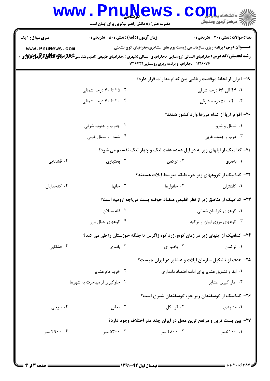|                                                                                                                                                                                  | حضرت علی(ع): دانش راهبر نیکویی برای ایمان است                                                                                         |                                                                                   | أأ " مرکز آزمون وسنجش                           |
|----------------------------------------------------------------------------------------------------------------------------------------------------------------------------------|---------------------------------------------------------------------------------------------------------------------------------------|-----------------------------------------------------------------------------------|-------------------------------------------------|
| <b>سری سوال : ۱ یک</b>                                                                                                                                                           | <b>زمان آزمون (دقیقه) : تستی : 50 ٪ تشریحی : 0</b>                                                                                    |                                                                                   | تعداد سوالات : تستى : 30 ٪ تشريحي : 0           |
| www.PnuNews.com<br><b>رشته تحصیلی/کد درس:</b> جغرافیای انسانی (روستایی )،جغرافیای انسانی (شهری )،جغرافیای طبیعی (اقلیم شناسی <b>E،طبیجترافیچیپهپایلانپراترامومولاتولاتو</b> ژی ) | <b>عنـــوان درس:</b> برنامه ریزی سازماندهی زیست بوم های عشایری،جغرافیای کوچ نشینی<br>۱۲۱۶۰۷۶ - ،جغرافیا و برنامه ریزی روستایی ۱۲۱۶۴۳۱ |                                                                                   |                                                 |
|                                                                                                                                                                                  |                                                                                                                                       | 1۹– ایران از لحاظ موقعیت ریاضی بین کدام مدارات قرار دارد؟                         |                                                 |
|                                                                                                                                                                                  | ۰۲ تا ۴۰ درجه شمالی                                                                                                                   |                                                                                   | ۰۱ ۴۴ الی ۶۶ درجه شرقی                          |
|                                                                                                                                                                                  | ۰۴ تا ۴۰ درجه شمالي                                                                                                                   |                                                                                   | ۰. ۴۰ تا ۵۰ درجه شرقی                           |
|                                                                                                                                                                                  |                                                                                                                                       |                                                                                   | ۲۰- اقوام آریا از کدام مرزها وارد کشور شدند؟    |
| ۰۲ جنوب و جنوب شرقی                                                                                                                                                              |                                                                                                                                       | ۰۱ شمال و شرق                                                                     |                                                 |
|                                                                                                                                                                                  | ۰۴ شمال و شمال غربی                                                                                                                   | ۰۳ غرب و جنوب غربی                                                                |                                                 |
|                                                                                                                                                                                  |                                                                                                                                       | <b>۲۱</b> - کدامیک از ایلهای زیر به دو ایل عمده هفت لنگ و چهار لنگ تقسیم می شود؟  |                                                 |
| ۰۴ قشقایی                                                                                                                                                                        | ۰۳ بختیاری                                                                                                                            | ۰۲ ترکمن                                                                          | ۰۱ باصری                                        |
|                                                                                                                                                                                  |                                                                                                                                       | ۲۲– کدامیک از گروههای زیر جزء طبقه متوسط ایلات هستند؟                             |                                                 |
| ۰۴ کدخدایان                                                                                                                                                                      | ۰۳ خانها                                                                                                                              | ۰۲ خانوارها                                                                       | ۰۱ کلانتران                                     |
|                                                                                                                                                                                  |                                                                                                                                       | ۲۳– کدامیک از مناطق زیر از نظر اقلیمی متضاد حوضه پست دریاچه ارومیه است؟           |                                                 |
| ۰۲ قله سبلان                                                                                                                                                                     |                                                                                                                                       |                                                                                   | ۰۱ کوههای خراسان شمالی                          |
|                                                                                                                                                                                  | ۰۴ کوههای جبال بارز                                                                                                                   | ۰۳ کوههای مرزی ایران و ترکیه                                                      |                                                 |
|                                                                                                                                                                                  |                                                                                                                                       | ۲۴– کدامیک از ایلهای زیر در زمان کوچ ،زرد کوه زاگرس تا جلگه خوزستان را طی می کند؟ |                                                 |
| ۰۴ قشقایی                                                                                                                                                                        | ۰۳ باصری                                                                                                                              | ۰۲ بختیاری                                                                        | ۰۱ ترکمن                                        |
|                                                                                                                                                                                  |                                                                                                                                       | ۲۵- هدف از تشکیل سازمان ایلات و عشایر در ایران چیست؟                              |                                                 |
|                                                                                                                                                                                  | ۰۲ خرید دام عشایر                                                                                                                     |                                                                                   | ۰۱ ابقا و تشویق عشایر برای ادامه اقتصاد دامداری |
|                                                                                                                                                                                  | ۰۴ جلوگیری از مهاجرت به شهرها                                                                                                         |                                                                                   | ۰۳ آمار گیری عشایر                              |
|                                                                                                                                                                                  |                                                                                                                                       | ۲۶– کدامیک از گوسفندان زیر جزء گوسفندان شیری است؟                                 |                                                 |
| ۰۴ بلوچي                                                                                                                                                                         | ۰۳ مغانی                                                                                                                              | ۰۲ قره گل                                                                         | ۰۱ مشهدی                                        |
|                                                                                                                                                                                  |                                                                                                                                       | 37- بین پست ترین و مرتفع ترین محل در ایران چند متر اختلاف وجود دارد؟              |                                                 |
| ۴۹۰۰ متر                                                                                                                                                                         | ۰۳ متر                                                                                                                                | ۰۲ ۴۸۰۰ متر                                                                       | ۰. ۱۰۰۵متر                                      |